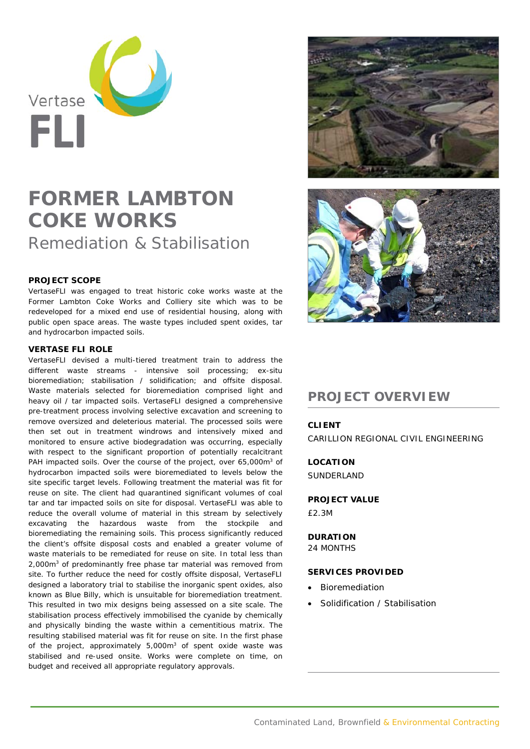

# **FORMER LAMBTON COKE WORKS**

Remediation & Stabilisation

## **PROJECT SCOPE**

VertaseFLI was engaged to treat historic coke works waste at the Former Lambton Coke Works and Colliery site which was to be redeveloped for a mixed end use of residential housing, along with public open space areas. The waste types included spent oxides, tar and hydrocarbon impacted soils.

#### **VERTASE FLI ROLE**

VertaseFLI devised a multi-tiered treatment train to address the different waste streams - intensive soil processing; ex-situ bioremediation; stabilisation / solidification; and offsite disposal. Waste materials selected for bioremediation comprised light and heavy oil / tar impacted soils. VertaseFLI designed a comprehensive pre-treatment process involving selective excavation and screening to remove oversized and deleterious material. The processed soils were then set out in treatment windrows and intensively mixed and monitored to ensure active biodegradation was occurring, especially with respect to the significant proportion of potentially recalcitrant PAH impacted soils. Over the course of the project, over 65,000m<sup>3</sup> of hydrocarbon impacted soils were bioremediated to levels below the site specific target levels. Following treatment the material was fit for reuse on site. The client had quarantined significant volumes of coal tar and tar impacted soils on site for disposal. VertaseFLI was able to reduce the overall volume of material in this stream by selectively excavating the hazardous waste from the stockpile and bioremediating the remaining soils. This process significantly reduced the client's offsite disposal costs and enabled a greater volume of waste materials to be remediated for reuse on site. In total less than 2,000m3 of predominantly free phase tar material was removed from site. To further reduce the need for costly offsite disposal, VertaseFLI designed a laboratory trial to stabilise the inorganic spent oxides, also known as Blue Billy, which is unsuitable for bioremediation treatment. This resulted in two mix designs being assessed on a site scale. The stabilisation process effectively immobilised the cyanide by chemically and physically binding the waste within a cementitious matrix. The resulting stabilised material was fit for reuse on site. In the first phase of the project, approximately 5,000m<sup>3</sup> of spent oxide waste was stabilised and re-used onsite. Works were complete on time, on budget and received all appropriate regulatory approvals.





# **PROJECT OVERVIEW**

## **CLIENT**

CARILLION REGIONAL CIVIL ENGINEERING

**LOCATION**  SUNDERLAND

#### **PROJECT VALUE**

£2.3M

#### **DURATION**

24 MONTHS

#### **SERVICES PROVIDED**

- Bioremediation
- Solidification / Stabilisation